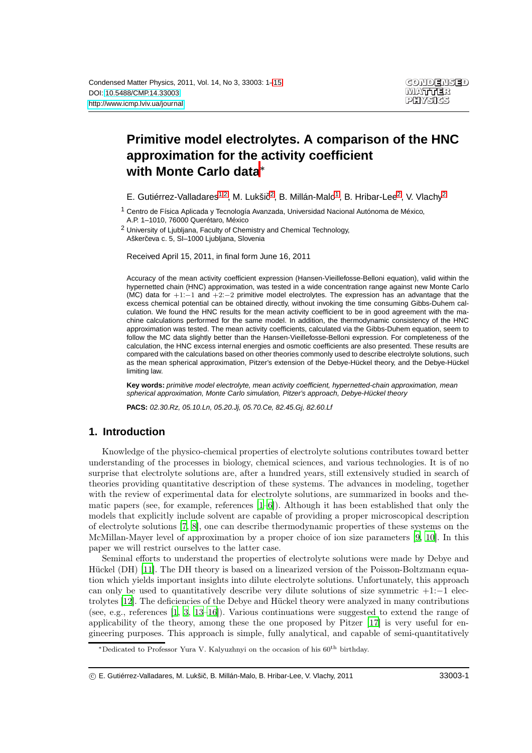# **Primitive model electrolytes. A comparison of the HNC approximation for the activity coefficient with Monte Carlo data**<sup>∗</sup>

<span id="page-0-0"></span>E. Gutiérrez-Valladares<sup>[1](#page-0-0)[,2](#page-0-1)</sup>, M. Lukšič<sup>[2](#page-0-1)</sup>, B. Millán-Malo<sup>1</sup>, B. Hribar-Lee<sup>2</sup>, V. Vlachy<sup>2</sup>

1 Centro de Física Aplicada y Tecnología Avanzada, Universidad Nacional Autónoma de México, A.P. 1–1010, 76000 Querétaro, México

<span id="page-0-1"></span>2 University of Ljubljana, Faculty of Chemistry and Chemical Technology, Aškerčeva c. 5, SI-1000 Ljubljana, Slovenia

Received April 15, 2011, in final form June 16, 2011

Accuracy of the mean activity coefficient expression (Hansen-Vieillefosse-Belloni equation), valid within the hypernetted chain (HNC) approximation, was tested in a wide concentration range against new Monte Carlo (MC) data for +1:−1 and +2:−2 primitive model electrolytes. The expression has an advantage that the excess chemical potential can be obtained directly, without invoking the time consuming Gibbs-Duhem calculation. We found the HNC results for the mean activity coefficient to be in good agreement with the machine calculations performed for the same model. In addition, the thermodynamic consistency of the HNC approximation was tested. The mean activity coefficients, calculated via the Gibbs-Duhem equation, seem to follow the MC data slightly better than the Hansen-Vieillefosse-Belloni expression. For completeness of the calculation, the HNC excess internal energies and osmotic coefficients are also presented. These results are compared with the calculations based on other theories commonly used to describe electrolyte solutions, such as the mean spherical approximation, Pitzer's extension of the Debye-Hückel theory, and the Debye-Hückel limiting law.

**Key words:** primitive model electrolyte, mean activity coefficient, hypernetted-chain approximation, mean spherical approximation, Monte Carlo simulation, Pitzer's approach, Debye-Hückel theory

**PACS:** 02.30.Rz, 05.10.Ln, 05.20.Jj, 05.70.Ce, 82.45.Gj, 82.60.Lf

# **1. Introduction**

Knowledge of the physico-chemical properties of electrolyte solutions contributes toward better understanding of the processes in biology, chemical sciences, and various technologies. It is of no surprise that electrolyte solutions are, after a hundred years, still extensively studied in search of theories providing quantitative description of these systems. The advances in modeling, together with the review of experimental data for electrolyte solutions, are summarized in books and thematic papers (see, for example, references [\[1](#page-12-0)[–6\]](#page-12-1)). Although it has been established that only the models that explicitly include solvent are capable of providing a proper microscopical description of electrolyte solutions [\[7,](#page-12-2) [8\]](#page-12-3), one can describe thermodynamic properties of these systems on the McMillan-Mayer level of approximation by a proper choice of ion size parameters [\[9,](#page-12-4) [10](#page-12-5)]. In this paper we will restrict ourselves to the latter case.

Seminal efforts to understand the properties of electrolyte solutions were made by Debye and Hückel (DH) [\[11\]](#page-12-6). The DH theory is based on a linearized version of the Poisson-Boltzmann equation which yields important insights into dilute electrolyte solutions. Unfortunately, this approach can only be used to quantitatively describe very dilute solutions of size symmetric +1:−1 electrolytes [\[12\]](#page-12-7). The deficiencies of the Debye and Hückel theory were analyzed in many contributions (see, e.g., references [\[1,](#page-12-0) [3,](#page-12-8) [13](#page-12-9)[–16\]](#page-12-10)). Various continuations were suggested to extend the range of applicability of the theory, among these the one proposed by Pitzer [\[17](#page-13-0)] is very useful for engineering purposes. This approach is simple, fully analytical, and capable of semi-quantitatively

<sup>∗</sup>Dedicated to Professor Yura V. Kalyuzhnyi on the occasion of his 60th birthday.

c E. Gutiérrez-Valladares, M. Lukšic, B. Millán-Malo, B. Hribar-Lee, V. Vlachy, 2011 ˇ 33003-1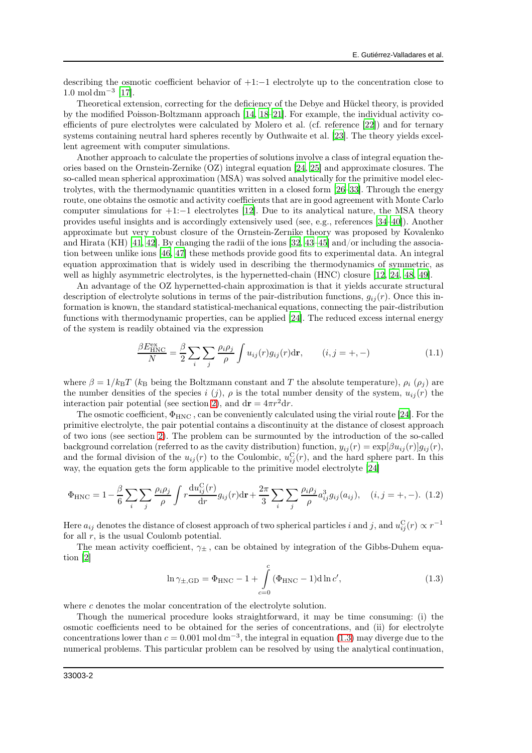<span id="page-1-4"></span>describing the osmotic coefficient behavior of +1:−1 electrolyte up to the concentration close to  $1.0 \text{ mol cm}^{-3}$  [\[17](#page-13-0)].

Theoretical extension, correcting for the deficiency of the Debye and Hückel theory, is provided by the modified Poisson-Boltzmann approach [\[14,](#page-12-11) [18](#page-13-1)[–21](#page-13-2)]. For example, the individual activity coefficients of pure electrolytes were calculated by Molero et al. (cf. reference [\[22](#page-13-3)]) and for ternary systems containing neutral hard spheres recently by Outhwaite et al. [\[23](#page-13-4)]. The theory yields excellent agreement with computer simulations.

<span id="page-1-5"></span>Another approach to calculate the properties of solutions involve a class of integral equation theories based on the Ornstein-Zernike (OZ) integral equation [\[24,](#page-13-5) [25](#page-13-6)] and approximate closures. The so-called mean spherical approximation (MSA) was solved analytically for the primitive model electrolytes, with the thermodynamic quantities written in a closed form [\[26](#page-13-7)[–33](#page-13-8)]. Through the energy route, one obtains the osmotic and activity coefficients that are in good agreement with Monte Carlo computer simulations for  $+1:-1$  electrolytes [\[12\]](#page-12-7). Due to its analytical nature, the MSA theory provides useful insights and is accordingly extensively used (see, e.g., references [\[34](#page-13-9)[–40\]](#page-13-10)). Another approximate but very robust closure of the Ornstein-Zernike theory was proposed by Kovalenko and Hirata (KH) [\[41](#page-13-11), [42\]](#page-13-12). By changing the radii of the ions [\[32,](#page-13-13) [43](#page-13-14)[–45](#page-13-15)] and/or including the association between unlike ions [\[46,](#page-13-16) [47](#page-13-17)] these methods provide good fits to experimental data. An integral equation approximation that is widely used in describing the thermodynamics of symmetric, as well as highly asymmetric electrolytes, is the hypernetted-chain (HNC) closure [\[12](#page-12-7), [24,](#page-13-5) [48,](#page-13-18) [49\]](#page-13-19).

An advantage of the OZ hypernetted-chain approximation is that it yields accurate structural description of electrolyte solutions in terms of the pair-distribution functions,  $g_{ij}(r)$ . Once this information is known, the standard statistical-mechanical equations, connecting the pair-distribution functions with thermodynamic properties, can be applied [\[24\]](#page-13-5). The reduced excess internal energy of the system is readily obtained via the expression

<span id="page-1-3"></span><span id="page-1-1"></span>
$$
\frac{\beta E_{\text{HNC}}^{\text{ex}}}{N} = \frac{\beta}{2} \sum_{i} \sum_{j} \frac{\rho_{i} \rho_{j}}{\rho} \int u_{ij}(r) g_{ij}(r) dr, \qquad (i, j = +, -)
$$
(1.1)

where  $\beta = 1/k_BT$  ( $k_B$  being the Boltzmann constant and T the absolute temperature),  $\rho_i$  ( $\rho_j$ ) are the number densities of the species i (j),  $\rho$  is the total number density of the system,  $u_{ij}(r)$  the interaction pair potential (see section [2\)](#page-2-0), and  $dr = 4\pi r^2 dr$ .

The osmotic coefficient,  $\Phi_{HNC}$ , can be conveniently calculated using the virial route [\[24\]](#page-13-5). For the primitive electrolyte, the pair potential contains a discontinuity at the distance of closest approach of two ions (see section [2\)](#page-2-0). The problem can be surmounted by the introduction of the so-called background correlation (referred to as the cavity distribution) function,  $y_{ij}(r) = \exp[\beta u_{ij}(r)]g_{ij}(r)$ , and the formal division of the  $u_{ij}(r)$  to the Coulombic,  $u_{ij}^C(r)$ , and the hard sphere part. In this way, the equation gets the form applicable to the primitive model electrolyte [\[24\]](#page-13-5)

<span id="page-1-2"></span>
$$
\Phi_{\rm HNC} = 1 - \frac{\beta}{6} \sum_{i} \sum_{j} \frac{\rho_i \rho_j}{\rho} \int r \frac{\mathrm{d}u_{ij}^{\rm C}(r)}{\mathrm{d}r} g_{ij}(r) \mathrm{d}\mathbf{r} + \frac{2\pi}{3} \sum_{i} \sum_{j} \frac{\rho_i \rho_j}{\rho} a_{ij}^3 g_{ij}(a_{ij}), \quad (i, j = +, -). \tag{1.2}
$$

Here  $a_{ij}$  denotes the distance of closest approach of two spherical particles i and j, and  $u_{ij}^C(r) \propto r^{-1}$ for all  $r$ , is the usual Coulomb potential.

The mean activity coefficient,  $\gamma_{\pm}$ , can be obtained by integration of the Gibbs-Duhem equation [\[2](#page-12-12)]

<span id="page-1-0"></span>
$$
\ln \gamma_{\pm, \text{GD}} = \Phi_{\text{HNC}} - 1 + \int_{c=0}^{c} (\Phi_{\text{HNC}} - 1) d \ln c', \qquad (1.3)
$$

where c denotes the molar concentration of the electrolyte solution.

Though the numerical procedure looks straightforward, it may be time consuming: (i) the osmotic coefficients need to be obtained for the series of concentrations, and (ii) for electrolyte concentrations lower than  $c = 0.001 \text{ mol dm}^{-3}$ , the integral in equation [\(1.3\)](#page-1-0) may diverge due to the numerical problems. This particular problem can be resolved by using the analytical continuation,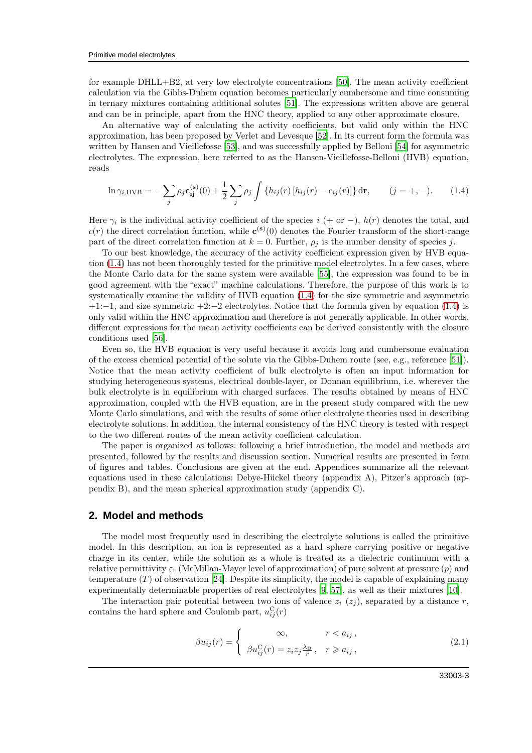for example DHLL+B2, at very low electrolyte concentrations [\[50](#page-13-20)]. The mean activity coefficient calculation via the Gibbs-Duhem equation becomes particularly cumbersome and time consuming in ternary mixtures containing additional solutes [\[51](#page-13-21)]. The expressions written above are general and can be in principle, apart from the HNC theory, applied to any other approximate closure.

An alternative way of calculating the activity coefficients, but valid only within the HNC approximation, has been proposed by Verlet and Levesque [\[52\]](#page-13-22). In its current form the formula was written by Hansen and Vieillefosse [\[53](#page-13-23)], and was successfully applied by Belloni [\[54](#page-13-24)] for asymmetric electrolytes. The expression, here referred to as the Hansen-Vieillefosse-Belloni (HVB) equation, reads

<span id="page-2-2"></span><span id="page-2-1"></span>
$$
\ln \gamma_{i,\text{HVB}} = -\sum_{j} \rho_j \mathbf{c}_{ij}^{(\mathbf{s})}(0) + \frac{1}{2} \sum_{j} \rho_j \int \{h_{ij}(r) \left[h_{ij}(r) - c_{ij}(r)\right]\} d\mathbf{r}, \qquad (j = +, -). \tag{1.4}
$$

Here  $\gamma_i$  is the individual activity coefficient of the species  $i$  (+ or −),  $h(r)$  denotes the total, and  $c(r)$  the direct correlation function, while  $\mathbf{c}^{(\mathbf{s})}(0)$  denotes the Fourier transform of the short-range part of the direct correlation function at  $k = 0$ . Further,  $\rho_j$  is the number density of species j.

To our best knowledge, the accuracy of the activity coefficient expression given by HVB equation [\(1.4\)](#page-2-1) has not been thoroughly tested for the primitive model electrolytes. In a few cases, where the Monte Carlo data for the same system were available [\[55](#page-13-25)], the expression was found to be in good agreement with the "exact" machine calculations. Therefore, the purpose of this work is to systematically examine the validity of HVB equation [\(1.4\)](#page-2-1) for the size symmetric and asymmetric +1:−1, and size symmetric +2:−2 electrolytes. Notice that the formula given by equation [\(1.4\)](#page-2-1) is only valid within the HNC approximation and therefore is not generally applicable. In other words, different expressions for the mean activity coefficients can be derived consistently with the closure conditions used [\[56](#page-13-26)].

Even so, the HVB equation is very useful because it avoids long and cumbersome evaluation of the excess chemical potential of the solute via the Gibbs-Duhem route (see, e.g., reference [\[51](#page-13-21)]). Notice that the mean activity coefficient of bulk electrolyte is often an input information for studying heterogeneous systems, electrical double-layer, or Donnan equilibrium, i.e. wherever the bulk electrolyte is in equilibrium with charged surfaces. The results obtained by means of HNC approximation, coupled with the HVB equation, are in the present study compared with the new Monte Carlo simulations, and with the results of some other electrolyte theories used in describing electrolyte solutions. In addition, the internal consistency of the HNC theory is tested with respect to the two different routes of the mean activity coefficient calculation.

The paper is organized as follows: following a brief introduction, the model and methods are presented, followed by the results and discussion section. Numerical results are presented in form of figures and tables. Conclusions are given at the end. Appendices summarize all the relevant equations used in these calculations: Debye-Hückel theory (appendix A), Pitzer's approach (appendix B), and the mean spherical approximation study (appendix C).

## <span id="page-2-0"></span>**2. Model and methods**

The model most frequently used in describing the electrolyte solutions is called the primitive model. In this description, an ion is represented as a hard sphere carrying positive or negative charge in its center, while the solution as a whole is treated as a dielectric continuum with a relative permittivity  $\varepsilon_r$  (McMillan-Mayer level of approximation) of pure solvent at pressure (p) and temperature  $(T)$  of observation [\[24\]](#page-13-5). Despite its simplicity, the model is capable of explaining many experimentally determinable properties of real electrolytes [\[9](#page-12-4), [57](#page-13-27)], as well as their mixtures [\[10\]](#page-12-5).

The interaction pair potential between two ions of valence  $z_i$  ( $z_j$ ), separated by a distance r, contains the hard sphere and Coulomb part,  $u_{ij}^{\text{C}}(r)$ 

$$
\beta u_{ij}(r) = \begin{cases} \infty, & r < a_{ij}, \\ \beta u_{ij}^{\text{C}}(r) = z_i z_j \frac{\lambda_{\text{B}}}{r}, & r \geq a_{ij}, \end{cases}
$$
 (2.1)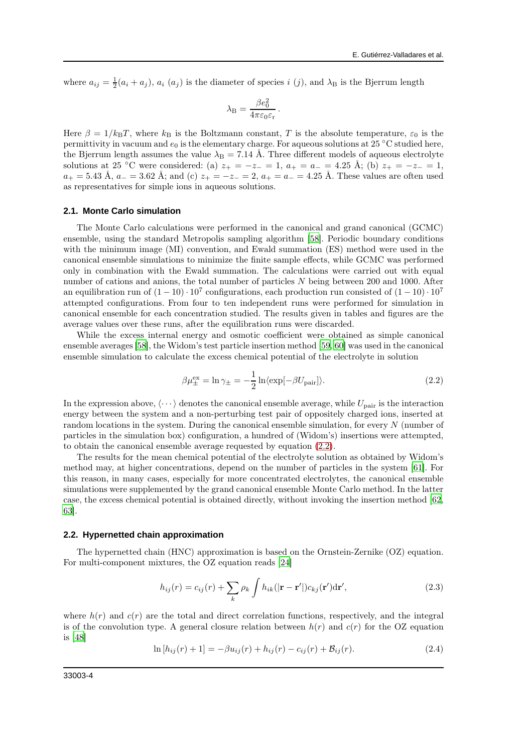where  $a_{ij} = \frac{1}{2}(a_i + a_j)$ ,  $a_i(a_j)$  is the diameter of species i (j), and  $\lambda_B$  is the Bjerrum length

$$
\lambda_{\rm B} = \frac{\beta e_0^2}{4\pi\varepsilon_0\varepsilon_{\rm r}}\,.
$$

Here  $\beta = 1/k_BT$ , where  $k_B$  is the Boltzmann constant, T is the absolute temperature,  $\varepsilon_0$  is the permittivity in vacuum and  $e_0$  is the elementary charge. For aqueous solutions at 25 °C studied here, the Bjerrum length assumes the value  $\lambda_B = 7.14$  Å. Three different models of aqueous electrolyte solutions at 25 °C were considered: (a)  $z_{+} = -z_{-} = 1$ ,  $a_{+} = a_{-} = 4.25$  Å; (b)  $z_{+} = -z_{-} = 1$ ,  $a_+ = 5.43 \text{ Å}, a_- = 3.62 \text{ Å}; \text{and (c)} z_+ = -z_- = 2, a_+ = a_- = 4.25 \text{ Å}.$  These values are often used as representatives for simple ions in aqueous solutions.

#### **2.1. Monte Carlo simulation**

The Monte Carlo calculations were performed in the canonical and grand canonical (GCMC) ensemble, using the standard Metropolis sampling algorithm [\[58\]](#page-13-28). Periodic boundary conditions with the minimum image (MI) convention, and Ewald summation (ES) method were used in the canonical ensemble simulations to minimize the finite sample effects, while GCMC was performed only in combination with the Ewald summation. The calculations were carried out with equal number of cations and anions, the total number of particles N being between 200 and 1000. After an equilibration run of  $(1-10) \cdot 10^7$  configurations, each production run consisted of  $(1-10) \cdot 10^7$ attempted configurations. From four to ten independent runs were performed for simulation in canonical ensemble for each concentration studied. The results given in tables and figures are the average values over these runs, after the equilibration runs were discarded.

While the excess internal energy and osmotic coefficient were obtained as simple canonical ensemble averages [\[58\]](#page-13-28), the Widom's test particle insertion method [\[59](#page-14-1), [60](#page-14-2)] was used in the canonical ensemble simulation to calculate the excess chemical potential of the electrolyte in solution

<span id="page-3-0"></span>
$$
\beta \mu_{\pm}^{\text{ex}} = \ln \gamma_{\pm} = -\frac{1}{2} \ln \langle \exp[-\beta U_{\text{pair}}] \rangle. \tag{2.2}
$$

In the expression above,  $\langle \cdots \rangle$  denotes the canonical ensemble average, while  $U_{\text{pair}}$  is the interaction energy between the system and a non-perturbing test pair of oppositely charged ions, inserted at random locations in the system. During the canonical ensemble simulation, for every N (number of particles in the simulation box) configuration, a hundred of (Widom's) insertions were attempted, to obtain the canonical ensemble average requested by equation [\(2.2\)](#page-3-0).

The results for the mean chemical potential of the electrolyte solution as obtained by Widom's method may, at higher concentrations, depend on the number of particles in the system [\[61\]](#page-14-3). For this reason, in many cases, especially for more concentrated electrolytes, the canonical ensemble simulations were supplemented by the grand canonical ensemble Monte Carlo method. In the latter case, the excess chemical potential is obtained directly, without invoking the insertion method [\[62](#page-14-4), [63\]](#page-14-5).

#### **2.2. Hypernetted chain approximation**

The hypernetted chain (HNC) approximation is based on the Ornstein-Zernike (OZ) equation. For multi-component mixtures, the OZ equation reads [\[24\]](#page-13-5)

<span id="page-3-1"></span>
$$
h_{ij}(r) = c_{ij}(r) + \sum_{k} \rho_k \int h_{ik}(|\mathbf{r} - \mathbf{r}'|) c_{kj}(\mathbf{r}') d\mathbf{r}',
$$
\n(2.3)

where  $h(r)$  and  $c(r)$  are the total and direct correlation functions, respectively, and the integral is of the convolution type. A general closure relation between  $h(r)$  and  $c(r)$  for the OZ equation is [\[48\]](#page-13-18)

<span id="page-3-2"></span>
$$
\ln[h_{ij}(r) + 1] = -\beta u_{ij}(r) + h_{ij}(r) - c_{ij}(r) + \mathcal{B}_{ij}(r).
$$
\n(2.4)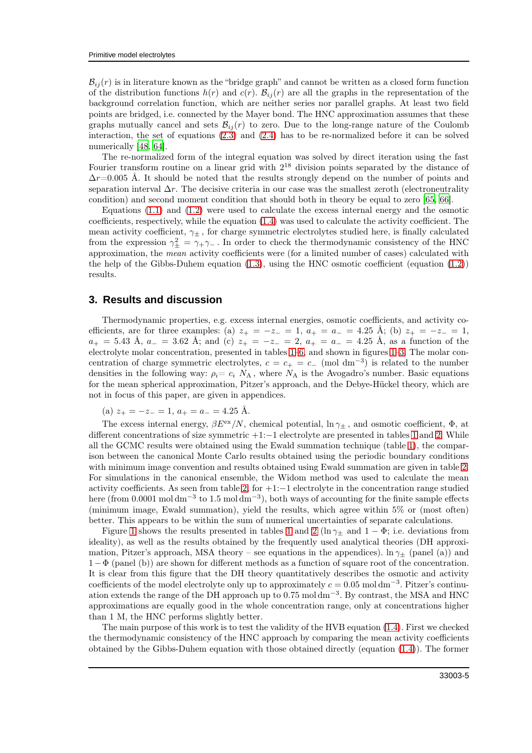$\mathcal{B}_{ij}(r)$  is in literature known as the "bridge graph" and cannot be written as a closed form function of the distribution functions  $h(r)$  and  $c(r)$ .  $B_{ij}(r)$  are all the graphs in the representation of the background correlation function, which are neither series nor parallel graphs. At least two field points are bridged, i.e. connected by the Mayer bond. The HNC approximation assumes that these graphs mutually cancel and sets  $\mathcal{B}_{ii}(r)$  to zero. Due to the long-range nature of the Coulomb interaction, the set of equations [\(2.3\)](#page-3-1) and [\(2.4\)](#page-3-2) has to be re-normalized before it can be solved numerically [\[48,](#page-13-18) [64\]](#page-14-6).

The re-normalized form of the integral equation was solved by direct iteration using the fast Fourier transform routine on a linear grid with  $2^{18}$  division points separated by the distance of  $\Delta r$ =0.005 Å. It should be noted that the results strongly depend on the number of points and separation interval  $\Delta r$ . The decisive criteria in our case was the smallest zeroth (electroneutrality condition) and second moment condition that should both in theory be equal to zero [\[65,](#page-14-7) [66\]](#page-14-8).

Equations [\(1.1\)](#page-1-1) and [\(1.2\)](#page-1-2) were used to calculate the excess internal energy and the osmotic coefficients, respectively, while the equation [\(1.4\)](#page-2-1) was used to calculate the activity coefficient. The mean activity coefficient,  $\gamma_{+}$ , for charge symmetric electrolytes studied here, is finally calculated from the expression  $\gamma_{\pm}^2 = \gamma_{+}\gamma_{-}$ . In order to check the thermodynamic consistency of the HNC approximation, the mean activity coefficients were (for a limited number of cases) calculated with the help of the Gibbs-Duhem equation  $(1.3)$ , using the HNC osmotic coefficient (equation  $(1.2)$ ) results.

## **3. Results and discussion**

Thermodynamic properties, e.g. excess internal energies, osmotic coefficients, and activity coefficients, are for three examples: (a)  $z_{+} = -z_{-} = 1$ ,  $a_{+} = a_{-} = 4.25$  Å; (b)  $z_{+} = -z_{-} = 1$ ,  $a_+ = 5.43 \text{ Å}, a_- = 3.62 \text{ Å}; \text{ and (c) } z_+ = -z_- = 2, a_+ = a_- = 4.25 \text{ Å}, \text{ as a function of the}$ electrolyte molar concentration, presented in tables [1–](#page-7-0)[6,](#page-9-0) and shown in figures [1](#page-5-0)[–3.](#page-6-0) The molar concentration of charge symmetric electrolytes,  $c = c_+ = c_- \pmod{dm^{-3}}$  is related to the number densities in the following way:  $\rho_i = c_i N_A$ , where  $N_A$  is the Avogadro's number. Basic equations for the mean spherical approximation, Pitzer's approach, and the Debye-Hückel theory, which are not in focus of this paper, are given in appendices.

(a)  $z_{+} = -z_{-} = 1, a_{+} = a_{-} = 4.25 \text{ Å}.$ 

The excess internal energy,  $\beta E^{\text{ex}}/N$ , chemical potential,  $\ln \gamma_{\pm}$ , and osmotic coefficient,  $\Phi$ , at different concentrations of size symmetric +1:−1 electrolyte are presented in tables [1](#page-7-0) and [2.](#page-7-1) While all the GCMC results were obtained using the Ewald summation technique (table [1\)](#page-7-0), the comparison between the canonical Monte Carlo results obtained using the periodic boundary conditions with minimum image convention and results obtained using Ewald summation are given in table [2.](#page-7-1) For simulations in the canonical ensemble, the Widom method was used to calculate the mean activity coefficients. As seen from table [2,](#page-7-1) for +1:−1 electrolyte in the concentration range studied here (from 0.0001 mol dm<sup>-3</sup> to 1.5 mol dm<sup>-3</sup>), both ways of accounting for the finite sample effects (minimum image, Ewald summation), yield the results, which agree within 5% or (most often) better. This appears to be within the sum of numerical uncertainties of separate calculations.

Figure [1](#page-7-0) shows the results presented in tables 1 and [2](#page-7-1) (ln  $\gamma_{\pm}$  and 1 –  $\Phi$ ; i.e. deviations from ideality), as well as the results obtained by the frequently used analytical theories (DH approximation, Pitzer's approach, MSA theory – see equations in the appendices).  $\ln \gamma_{\pm}$  (panel (a)) and 1−Φ (panel (b)) are shown for different methods as a function of square root of the concentration. It is clear from this figure that the DH theory quantitatively describes the osmotic and activity coefficients of the model electrolyte only up to approximately  $c = 0.05$  moldm<sup>-3</sup>. Pitzer's continuation extends the range of the DH approach up to 0.75 mol dm−<sup>3</sup> . By contrast, the MSA and HNC approximations are equally good in the whole concentration range, only at concentrations higher than 1 M, the HNC performs slightly better.

The main purpose of this work is to test the validity of the HVB equation [\(1.4\)](#page-2-1). First we checked the thermodynamic consistency of the HNC approach by comparing the mean activity coefficients obtained by the Gibbs-Duhem equation with those obtained directly (equation [\(1.4\)](#page-2-1)). The former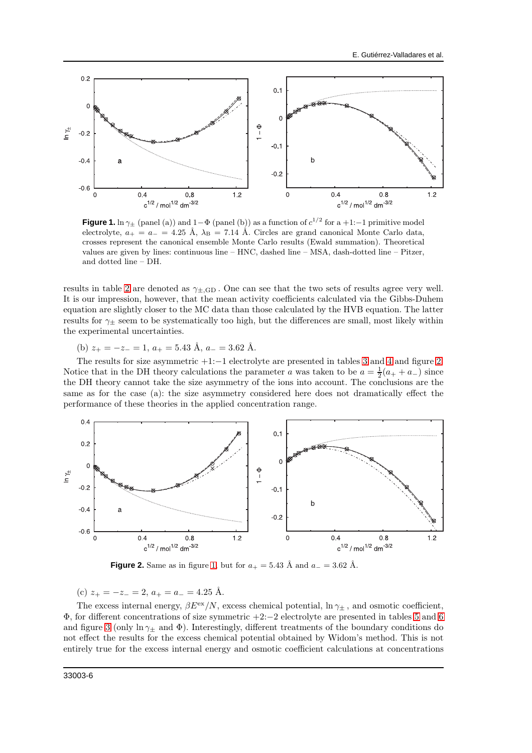

<span id="page-5-0"></span>**Figure 1.** ln  $\gamma_{\pm}$  (panel (a)) and 1- $\Phi$  (panel (b)) as a function of  $c^{1/2}$  for a +1:-1 primitive model electrolyte,  $a_+ = a_- = 4.25$  Å,  $\lambda_B = 7.14$  Å. Circles are grand canonical Monte Carlo data, crosses represent the canonical ensemble Monte Carlo results (Ewald summation). Theoretical values are given by lines: continuous line – HNC, dashed line – MSA, dash-dotted line – Pitzer, and dotted line – DH.

results in table [2](#page-7-1) are denoted as  $\gamma_{\pm,\text{GD}}$ . One can see that the two sets of results agree very well. It is our impression, however, that the mean activity coefficients calculated via the Gibbs-Duhem equation are slightly closer to the MC data than those calculated by the HVB equation. The latter results for  $\gamma_+$  seem to be systematically too high, but the differences are small, most likely within the experimental uncertainties.

(b)  $z_{+} = -z_{-} = 1, a_{+} = 5.43 \text{ Å}, a_{-} = 3.62 \text{ Å}.$ 

The results for size asymmetric +1:−1 electrolyte are presented in tables [3](#page-8-0) and [4](#page-8-1) and figure [2.](#page-5-1) Notice that in the DH theory calculations the parameter a was taken to be  $a = \frac{1}{2}(a_+ + a_-)$  since the DH theory cannot take the size asymmetry of the ions into account. The conclusions are the same as for the case (a): the size asymmetry considered here does not dramatically effect the performance of these theories in the applied concentration range.



<span id="page-5-1"></span>**Figure 2.** Same as in figure [1,](#page-5-0) but for  $a_+ = 5.43$  Å and  $a_- = 3.62$  Å.

(c)  $z_{+} = -z_{-} = 2, a_{+} = a_{-} = 4.25$  Å.

The excess internal energy,  $\beta E^{\text{ex}}/N$ , excess chemical potential,  $\ln \gamma_{\pm}$ , and osmotic coefficient, Φ, for different concentrations of size symmetric +2:−2 electrolyte are presented in tables [5](#page-9-1) and [6](#page-9-0) and figure [3](#page-6-0) (only ln  $\gamma_{\pm}$  and  $\Phi$ ). Interestingly, different treatments of the boundary conditions do not effect the results for the excess chemical potential obtained by Widom's method. This is not entirely true for the excess internal energy and osmotic coefficient calculations at concentrations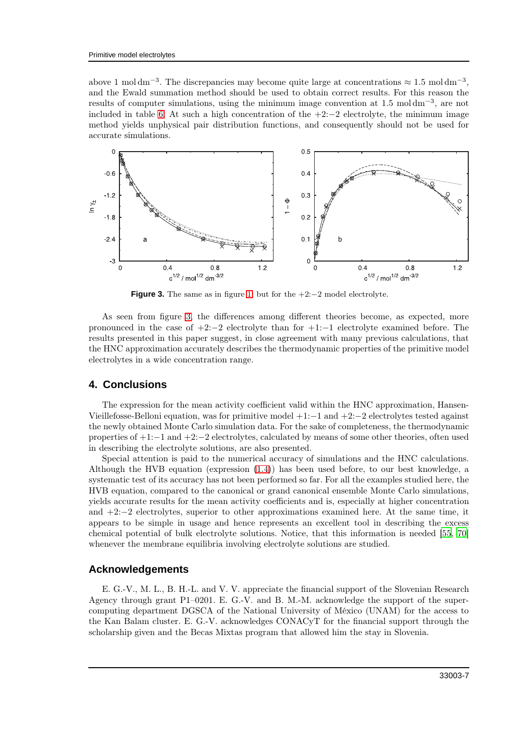above 1 mol dm<sup>-3</sup>. The discrepancies may become quite large at concentrations  $\approx 1.5 \text{ mol dm}^{-3}$ . and the Ewald summation method should be used to obtain correct results. For this reason the results of computer simulations, using the minimum image convention at 1.5 mol dm<sup>-3</sup>, are not included in table [6.](#page-9-0) At such a high concentration of the  $+2:-2$  electrolyte, the minimum image method yields unphysical pair distribution functions, and consequently should not be used for accurate simulations.



<span id="page-6-0"></span>**Figure 3.** The same as in figure [1,](#page-5-0) but for the  $+2:-2$  model electrolyte.

As seen from figure [3,](#page-6-0) the differences among different theories become, as expected, more pronounced in the case of  $+2:-2$  electrolyte than for  $+1:-1$  electrolyte examined before. The results presented in this paper suggest, in close agreement with many previous calculations, that the HNC approximation accurately describes the thermodynamic properties of the primitive model electrolytes in a wide concentration range.

#### **4. Conclusions**

The expression for the mean activity coefficient valid within the HNC approximation, Hansen-Vieillefosse-Belloni equation, was for primitive model +1:−1 and +2:−2 electrolytes tested against the newly obtained Monte Carlo simulation data. For the sake of completeness, the thermodynamic properties of +1:−1 and +2:−2 electrolytes, calculated by means of some other theories, often used in describing the electrolyte solutions, are also presented.

Special attention is paid to the numerical accuracy of simulations and the HNC calculations. Although the HVB equation (expression [\(1.4\)](#page-2-1)) has been used before, to our best knowledge, a systematic test of its accuracy has not been performed so far. For all the examples studied here, the HVB equation, compared to the canonical or grand canonical ensemble Monte Carlo simulations, yields accurate results for the mean activity coefficients and is, especially at higher concentration and +2:−2 electrolytes, superior to other approximations examined here. At the same time, it appears to be simple in usage and hence represents an excellent tool in describing the excess chemical potential of bulk electrolyte solutions. Notice, that this information is needed [\[55,](#page-13-25) [70\]](#page-14-9) whenever the membrane equilibria involving electrolyte solutions are studied.

## **Acknowledgements**

E. G.-V., M. L., B. H.-L. and V. V. appreciate the financial support of the Slovenian Research Agency through grant P1–0201. E. G.-V. and B. M.-M. acknowledge the support of the supercomputing department DGSCA of the National University of México (UNAM) for the access to the Kan Balam cluster. E. G.-V. acknowledges CONACyT for the financial support through the scholarship given and the Becas Mixtas program that allowed him the stay in Slovenia.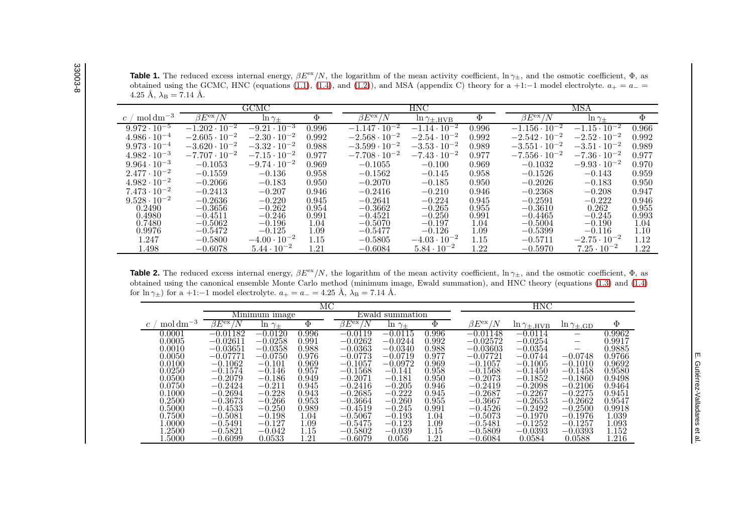**Table 1.** The reduced excess internal energy,  $\beta E^{\text{ex}}/N$ , the logarithm of the mean activity coefficient,  $\ln \gamma_{\pm}$ , and the osmotic coefficient,  $\Phi$ , as obtained using the GCMC, HNC (equations [\(1.1\)](#page-1-3), [\(1.4\)](#page-2-2), and [\(1.2\)](#page-1-4)), and MSA (appendix C) theory for a +1:−1 model electrolyte.  $a_+ = a_- =$  $4.25 \text{ Å}, \lambda_{\text{B}} = 7.14 \text{ Å}.$ 

|                                                    |                                   | GCMC                  |        |                        | <b>HNC</b>              |       |                        | MSA                   |        |  |  |
|----------------------------------------------------|-----------------------------------|-----------------------|--------|------------------------|-------------------------|-------|------------------------|-----------------------|--------|--|--|
| $\mathrm{mol}\,\mathrm{dm}^{-3}$<br>$\mathfrak{c}$ | $\beta E^{\rm ex}/N$              | $\ln \gamma_{\pm}$    | $\Phi$ | $\beta E^{\rm ex}/N$   | $\ln \gamma_{\pm, HVB}$ | Φ     | $\beta E^{\rm ex}/$    | $\ln \gamma_{\pm}$    | $\Phi$ |  |  |
| $9.972 \cdot 10^{-5}$                              | $-1.202 \cdot \overline{10^{-2}}$ | $-9.21 \cdot 10^{-3}$ | 0.996  | $-1.147 \cdot 10^{-2}$ | $-1.14 \cdot 10^{-2}$   | 0.996 | $-1.156 \cdot 10^{-2}$ | $-1.15 \cdot 10^{-2}$ | 0.966  |  |  |
| $4.986 \cdot 10^{-4}$                              | $-2.605 \cdot 10^{-2}$            | $-2.30 \cdot 10^{-2}$ | 0.992  | $-2.568 \cdot 10^{-2}$ | $-2.54 \cdot 10^{-2}$   | 0.992 | $-2.542 \cdot 10^{-2}$ | $-2.52 \cdot 10^{-2}$ | 0.992  |  |  |
| $9.973 \cdot 10^{-4}$                              | $-3.620 \cdot 10^{-2}$            | $-3.32 \cdot 10^{-2}$ | 0.988  | $-3.599 \cdot 10^{-2}$ | $-3.53 \cdot 10^{-2}$   | 0.989 | $-3.551 \cdot 10^{-2}$ | $-3.51 \cdot 10^{-2}$ | 0.989  |  |  |
| $4.982 \cdot 10^{-3}$                              | $-7.707 \cdot 10^{-2}$            | $-7.15 \cdot 10^{-2}$ | 0.977  | $-7.708 \cdot 10^{-2}$ | $-7.43 \cdot 10^{-2}$   | 0.977 | $-7.556 \cdot 10^{-2}$ | $-7.36 \cdot 10^{-2}$ | 0.977  |  |  |
| $9.964 \cdot 10^{-3}$                              | $-0.1053$                         | $-9.74 \cdot 10^{-2}$ | 0.969  | $-0.1055$              | $-0.100$                | 0.969 | $-0.1032$              | $-9.93 \cdot 10^{-2}$ | 0.970  |  |  |
| $2.477 \cdot 10^{-2}$                              | $-0.1559$                         | $-0.136$              | 0.958  | $-0.1562$              | $-0.145$                | 0.958 | $-0.1526$              | $-0.143$              | 0.959  |  |  |
| $4.982 \cdot 10^{-2}$                              | $-0.2066$                         | $-0.183$              | 0.950  | $-0.2070$              | $-0.185$                | 0.950 | $-0.2026$              | $-0.183$              | 0.950  |  |  |
| $7.473 \cdot 10^{-2}$                              | $-0.2413$                         | $-0.207$              | 0.946  | $-0.2416$              | $-0.210$                | 0.946 | $-0.2368$              | $-0.208$              | 0.947  |  |  |
| $9.528 \cdot 10^{-2}$                              | $-0.2636$                         | $-0.220$              | 0.945  | $-0.2641$              | $-0.224$                | 0.945 | $-0.2591$              | $-0.222$              | 0.946  |  |  |
| 0.2490                                             | $-0.3656$                         | $-0.262$              | 0.954  | $-0.3662$              | $-0.265$                | 0.955 | $-0.3610$              | 0.262                 | 0.955  |  |  |
| 0.4980                                             | $-0.4511$                         | $-0.246$              | 0.991  | $-0.4521$              | $-0.250$                | 0.991 | $-0.4465$              | $-0.245$              | 0.993  |  |  |
| 0.7480                                             | $-0.5062$                         | $-0.196$              | 1.04   | $-0.5070$              | $-0.197$                | 1.04  | $-0.5004$              | $-0.190$              | 1.04   |  |  |
| 0.9976                                             | $-0.5472$                         | $-0.125$              | 1.09   | $-0.5477$              | $-0.126$                | 1.09  | $-0.5399$              | $-0.116$              | 1.10   |  |  |
| 1.247                                              | $-0.5800$                         | $-4.00 \cdot 10^{-2}$ | 1.15   | $-0.5805$              | $-4.03 \cdot 10^{-2}$   | 1.15  | $-0.5711$              | $-2.75 \cdot 10^{-2}$ | 1.12   |  |  |
| L.498                                              | $-0.6078$                         | $5.44 \cdot 10^{-2}$  | 1.21   | $-0.6084$              | $5.84 \cdot 10^{-2}$    | 1.22  | $-0.5970$              | $7.25 \cdot 10^{-2}$  | 1.22   |  |  |

**Table 2.** The reduced excess internal energy,  $\beta E^{\text{ex}}/N$ , the logarithm of the mean activity coefficient,  $\ln \gamma_{\pm}$ , and the osmotic coefficient,  $\Phi$ , as obtained using the canonical ensemble Monte Carlo method (minimum image, Ewald summation), and HNC theory (equations [\(1.3\)](#page-1-5) and [\(1.4\)](#page-2-2)for  $\ln \gamma_{\pm}$ ) for a +1:-1 model electrolyte.  $a_+ = a_- = 4.25 \text{ Å}, \lambda_B = 7.14 \text{ Å}.$ 

<span id="page-7-3"></span><span id="page-7-2"></span><span id="page-7-1"></span><span id="page-7-0"></span>

|                                  | МC                         |                    |           |                      |                    |          |                             | HNC                     |                               |        |
|----------------------------------|----------------------------|--------------------|-----------|----------------------|--------------------|----------|-----------------------------|-------------------------|-------------------------------|--------|
|                                  | Minimum image              |                    |           |                      | Ewald summation    |          |                             |                         |                               |        |
| $\mathrm{mol}\,\mathrm{dm}^{-3}$ | $\beta E^{\text{ex}}$<br>N | $\ln \gamma_{\pm}$ | $\Phi$    | $\beta E^{\rm ex}/N$ | $\ln \gamma_{\pm}$ | $\Phi$   | $\beta E^{\text{ex}}$<br>'N | $\ln \gamma_{\pm, HVB}$ | $\ln\gamma_{\pm,\mathrm{GD}}$ | $\Phi$ |
| $0.0001\,$                       | $-0.01182$                 | $-0.0120$          | 0.996     | $-0.0119$            | $-0.0115$          | 0.996    | $-0.01148$                  | $-0.0114$               |                               | 0.9962 |
| 0.0005                           | $-0.02611$                 | $-0.0258$          | ${0.991}$ | $-0.0262$            | $-0.0244$          | 0.992    | $-0.02572$                  | $-0.0254$               | $\qquad \qquad$               | 0.9917 |
| 0.0010                           | $-0.03651$                 | $-0.0358$          | 0.988     | $-0.0363$            | $-0.0340$          | 0.988    | $-0.03603$                  | $-0.0354$               |                               | 0.9885 |
| 0.0050                           | $-0.07771$                 | $-0.0750$          | 0.976     | $-0.0773$            | $-0.0719$          | 0.977    | $-0.07721$                  | $-0.0744$               | $-0.0748$                     | 0.9766 |
| 0.0100                           | $-0.1062$                  | $-0.101$           | 0.969     | $-0.1057$            | $-0.0972$          | 0.969    | $-0.1057$                   | $-0.1005$               | $-0.1010$                     | 0.9692 |
| 0.0250                           | $-0.1574$                  | $-0.146$           | 0.957     | $-0.1568$            | $-0.141$           | 0.958    | $-0.1568$                   | $-0.1450$               | $-0.1458$                     | 0.9580 |
| 0.0500                           | $-0.2079$                  | $-0.186$           | 0.949     | $-0.2071$            | $-0.181$           | 0.950    | $-0.2073$                   | $-0.1852$               | $-0.1860$                     | 0.9498 |
| 0.0750                           | $-0.2424$                  | $-0.211$           | 0.945     | $-0.2416$            | $-0.205$           | 0.946    | $-0.2419$                   | $-0.2098$               | $-0.2106$                     | 0.9464 |
| 0.1000                           | $-0.2694$                  | $-0.228$           | 0.943     | $-0.2685$            | $-0.222$           | 0.945    | $-0.2687$                   | $-0.2267$               | $-0.2275$                     | 0.9451 |
| 0.2500                           | $-0.3673$                  | $-0.266$           | 0.953     | $-0.3664$            | $-0.260$           | 0.955    | $-0.3667$                   | $-0.2653$               | $-0.2662$                     | 0.9547 |
| 0.5000                           | $-0.4533$                  | $-0.250$           | 0.989     | $-0.4519$            | $-0.245$           | 0.991    | $-0.4526$                   | $-0.2492$               | $-0.2500$                     | 0.9918 |
| 0.7500                           | $-0.5081$                  | $-0.198$           | 1.04      | $-0.5067$            | $-0.193$           | $1.04\,$ | $-0.5073$                   | $-0.1970$               | $-0.1976$                     | 1.039  |
| 1.0000                           | $-0.5491$                  | $-0.127$           | $1.09\,$  | $-0.5475$            | $-0.123$           | $1.09\,$ | $-0.5481$                   | $-0.1252$               | $-0.1257$                     | 1.093  |
| l.2500                           | $-0.5821$                  | $-0.042$           | 1.15      | $-0.5802$            | $-0.039$           | 1.15     | $-0.5809$                   | $-0.0393$               | $-0.0393$                     | 1.152  |
| L.5000                           | $-0.6099$                  | 0.0533             | $1.21\,$  | $-0.6079$            | 0.056              | $1.21\,$ | $-0.6084$                   | 0.0584                  | 0.0588                        | 1.216  |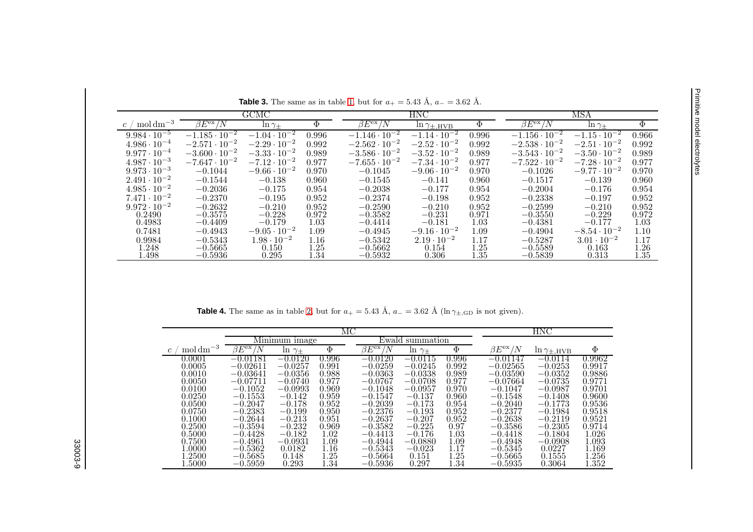| <b>Table 3.</b> The same as in table 1, but for $a_+ = 5.43 \text{ Å}$ , $a_- = 3.62 \text{ Å}$ . |                                   |                                  |              |                                   |                            |                  |                                   |                       |              |  |
|---------------------------------------------------------------------------------------------------|-----------------------------------|----------------------------------|--------------|-----------------------------------|----------------------------|------------------|-----------------------------------|-----------------------|--------------|--|
|                                                                                                   |                                   | GCMC                             |              |                                   | <b>HNC</b>                 |                  |                                   | MSA                   |              |  |
| $\rm \gamma \, mol \, dm^{-3}$<br>$\mathcal{C}$                                                   | $\beta E^{\rm ex}/N$              | $\ln \gamma_{\pm}$               | $\Phi$       | $\beta E^{\text{ex}}/N$           | $\ln \gamma_{\pm,\rm HVB}$ | Ф                | $\beta E^{\text{ex}}/N$           | $\ln \gamma_{\pm}$    | $\Phi$       |  |
| $9.984 \cdot 10^{-5}$                                                                             | $-1.185 \cdot \overline{10^{-2}}$ | $-1.04 \cdot \overline{10^{-2}}$ | 0.996        | $-1.146 \cdot \overline{10^{-2}}$ | $-1.14 \cdot 10^{-2}$      | 0.996            | $-1.156 \cdot \overline{10^{-2}}$ | $-1.15 \cdot 10^{-2}$ | 0.966        |  |
| $4.986 \cdot 10^{-4}$                                                                             | $-2.571 \cdot 10^{-2}$            | $-2.29 \cdot 10^{-2}$            | 0.992        | $-2.562 \cdot 10^{-2}$            | $-2.52 \cdot 10^{-2}$      | 0.992            | $-2.538 \cdot 10^{-2}$            | $-2.51 \cdot 10^{-2}$ | 0.992        |  |
| $9.977 \cdot 10^{-4}$                                                                             | $-3.600 \cdot 10^{-2}$            | $-3.33 \cdot 10^{-2}$            | 0.989        | $-3.586 \cdot 10^{-2}$            | $-3.52 \cdot 10^{-2}$      | 0.989            | $-3.543 \cdot 10^{-2}$            | $-3.50 \cdot 10^{-2}$ | 0.989        |  |
| $4.987 \cdot 10^{-3}$                                                                             | $-7.647 \cdot 10^{-2}$            | $-7.12 \cdot 10^{-2}$            | 0.977        | $-7.655 \cdot 10^{-2}$            | $-7.34 \cdot 10^{-2}$      | 0.977            | $-7.522 \cdot 10^{-2}$            | $-7.28 \cdot 10^{-2}$ | 0.977        |  |
| $9.973 \cdot 10^{-3}$                                                                             | $-0.1044$                         | $-9.66 \cdot 10^{-2}$            | 0.970        | $-0.1045$                         | $-9.06 \cdot 10^{-2}$      | 0.970            | $-0.1026$                         | $-9.77 \cdot 10^{-2}$ | 0.970        |  |
| $2.491 \cdot 10^{-2}$                                                                             | $-0.1544$                         | $-0.138$                         | 0.960        | $-0.1545$                         | $-0.141$                   | 0.960            | $-0.1517$                         | $-0.139$              | 0.960        |  |
| $4.985 \cdot 10^{-2}$                                                                             | $-0.2036$                         | $-0.175$                         | 0.954        | $-0.2038$                         | $-0.177$                   | 0.954            | $-0.2004$                         | $-0.176$              | 0.954        |  |
| $7.471 \cdot 10^{-2}$                                                                             | $-0.2370$                         | $-0.195$                         | 0.952        | $-0.2374$                         | $-0.198$                   | 0.952            | $-0.2338$                         | $-0.197$              | 0.952        |  |
| $9.972 \cdot 10^{-2}$                                                                             | $-0.2632$                         | $-0.210$                         | 0.952        | $-0.2590$                         | $-0.210$                   | 0.952            | $-0.2599$                         | $-0.210$              | 0.952        |  |
| 0.2490                                                                                            | $-0.3575$                         | $-0.228$                         | 0.972        | $-0.3582$                         | $-0.231$                   | 0.971            | $-0.3550$                         | $-0.229$              | 0.972        |  |
| 0.4983                                                                                            | $-0.4409$                         | $-0.179$                         | 1.03         | $-0.4414$                         | $-0.181$                   | 1.03             | $-0.4381$                         | $-0.177$              | 1.03         |  |
| 0.7481                                                                                            | $-0.4943$                         | $-9.05 \cdot 10^{-2}$            | 1.09         | $-0.4945$                         | $-9.16 \cdot 10^{-2}$      | 1.09             | $-0.4904$                         | $-8.54 \cdot 10^{-2}$ | 1.10         |  |
| 0.9984                                                                                            | $-0.5343$                         | $1.98 \cdot 10^{-2}$             | 1.16         | $-0.5342$                         | $2.19 \cdot 10^{-2}$       | 1.17             | $-0.5287$                         | $3.01 \cdot 10^{-2}$  | 1.17         |  |
| .248<br>.498                                                                                      | $-0.5665$<br>$-0.5936$            | 0.150<br>0.295                   | 1.25<br>1.34 | $-0.5662$<br>$-0.5932$            | 0.154<br>0.306             | 1.25<br>$1.35\,$ | $-0.5589$<br>$-0.5839$            | 0.163<br>0.313        | 1.26<br>1.35 |  |

<span id="page-8-1"></span><span id="page-8-0"></span>**Table 4.** The same as in table [2,](#page-7-3) but for  $a_+ = 5.43 \text{ Å}$ ,  $a_- = 3.62 \text{ Å}$  (ln  $\gamma_{\pm, \text{GD}}$  is not given).

|                                  |                    |                    |        | HNC                       |                    |       |                      |                         |        |
|----------------------------------|--------------------|--------------------|--------|---------------------------|--------------------|-------|----------------------|-------------------------|--------|
|                                  |                    | Minimum image      |        |                           | Ewald summation    |       |                      |                         |        |
| $\mathrm{mol}\,\mathrm{dm}^{-3}$ | $\beta E^{\rm ex}$ | $\ln \gamma_{\pm}$ | $\Phi$ | $\beta E^{\rm ex}/$<br>'N | $\ln \gamma_{\pm}$ | Φ     | $\beta E^{\rm ex}/N$ | $\ln \gamma_{\pm, HVB}$ | Φ      |
| 0.0001                           | $-0.01181$         | $-0.0120$          | 0.996  | $-0.0120$                 | $-0.0115$          | 0.996 | $-0.01147$           | $-0.0114$               | 0.9962 |
| 0.0005                           | $-0.02611$         | $-0.0257$          | 0.991  | $-0.0259$                 | $-0.0245$          | 0.992 | $-0.02565$           | $-0.0253$               | 0.9917 |
| 0.0010                           | $-0.03641$         | $-0.0356$          | 0.988  | $-0.0363$                 | $-0.0338$          | 0.989 | $-0.03590$           | $-0.0352$               | 0.9886 |
| 0.0050                           | $-0.07711$         | $-0.0740$          | 0.977  | $-0.0767$                 | $-0.0708$          | 0.977 | $-0.07664$           | $-0.0735$               | 0.9771 |
| 0.0100                           | $-0.1052$          | $-0.0993$          | 0.969  | $-0.1048$                 | $-0.0957$          | 0.970 | $-0.1047$            | $-0.0987$               | 0.9701 |
| 0.0250                           | $-0.1553$          | $-0.142$           | 0.959  | $-0.1547$                 | $-0.137$           | 0.960 | $-0.1548$            | $-0.1408$               | 0.9600 |
| 0.0500                           | $-0.2047$          | $-0.178$           | 0.952  | $-0.2039$                 | $-0.173$           | 0.954 | $-0.2040$            | $-0.1773$               | 0.9536 |
| 0.0750                           | $-0.2383$          | $-0.199$           | 0.950  | $-0.2376$                 | $-0.193$           | 0.952 | $-0.2377$            | $-0.1984$               | 0.9518 |
| 0.1000                           | $-0.2644$          | $-0.213$           | 0.951  | $-0.2637$                 | $-0.207$           | 0.952 | $-0.2638$            | $-0.2119$               | 0.9521 |
| 0.2500                           | $-0.3594$          | $-0.232$           | 0.969  | $-0.3582$                 | $-0.225$           | 0.97  | $-0.3586$            | $-0.2305$               | 0.9714 |
| 0.5000                           | $-0.4428$          | $-0.182$           | 1.02   | $-0.4413$                 | $-0.176$           | 1.03  | $-0.4418$            | $-0.1804$               | 1.026  |
| 0.7500                           | $-0.4961$          | $-0.0931$          | 1.09   | $-0.4944$                 | $-0.0880$          | 1.09  | $-0.4948$            | $-0.0908$               | 1.093  |
| $1.0000\,$                       | $-0.5362$          | 0.0182             | 1.16   | $-0.5343$                 | $-0.023$           | 1.17  | $-0.5345$            | 0.0227                  | 1.169  |
| 1.2500                           | $-0.5685$          | 0.148              | 1.25   | $-0.5664$                 | 0.151              | 1.25  | $-0.5665$            | 0.1555                  | 1.256  |
| $1.5000\,$                       | $-0.5959$          | 0.293              | 1.34   | $-0.5936$                 | 0.297              | 1.34  | $-0.5935$            | 0.3064                  | 1.352  |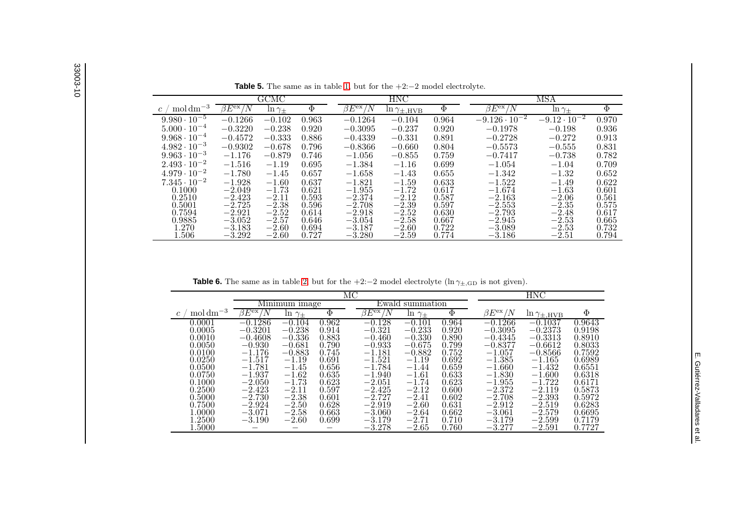| $\mathrm{mol}\,\mathrm{dm}^{-3}$<br>$\beta E^{\text{ex}}$<br>Φ<br>$\Phi$<br>$\beta E^{\rm ex}/$<br>$\beta E^{\rm ex}$ /<br>'N<br>'N<br>/N<br>$\ln \gamma_{\pm}$<br>$\ln \gamma_{\pm}$<br>$\ln \gamma_{\pm, HVB}$ | $\Phi$ |
|------------------------------------------------------------------------------------------------------------------------------------------------------------------------------------------------------------------|--------|
|                                                                                                                                                                                                                  |        |
| $-9.126 \cdot 10^{-2}$<br>$-9.12 \cdot 10^{-2}$<br>$9.980 \cdot 10^{-5}$<br>$-0.1266$<br>$-0.102$<br>0.963<br>$-0.1264$<br>0.964<br>$-0.104$                                                                     | 0.970  |
| $5.000 \cdot 10^{-4}$<br>$-0.3220$<br>$-0.238$<br>0.920<br>$-0.3095$<br>0.920<br>$-0.198$<br>$-0.237$<br>$-0.1978$                                                                                               | 0.936  |
| $9.968 \cdot 10^{-4}$<br>$-0.4572$<br>$-0.333$<br>0.886<br>$-0.4339$<br>$-0.331$<br>0.891<br>$-0.2728$<br>$-0.272$                                                                                               | 0.913  |
| $4.982 \cdot 10^{-3}$<br>$-0.9302$<br>$-0.678$<br>0.796<br>0.804<br>$-0.5573$<br>$-0.8366$<br>$-0.555$<br>$-0.660$                                                                                               | 0.831  |
| $9.963 \cdot 10^{-3}$<br>$-1.176$<br>$-0.879$<br>0.746<br>$-0.855$<br>0.759<br>$-1.056$<br>$-0.7417$<br>$-0.738$                                                                                                 | 0.782  |
| $2.493 \cdot 10^{-2}$<br>$-1.054$<br>$-1.516$<br>$-1.19$<br>0.695<br>$-1.384$<br>0.699<br>$-1.16$<br>$-1.04$                                                                                                     | 0.709  |
| $4.979 \cdot 10^{-2}$<br>$-1.780$<br>0.657<br>$-1.45$<br>$-1.658$<br>0.655<br>$-1.342$<br>$-1.43$<br>$-1.32$                                                                                                     | 0.652  |
| $7.345 \cdot 10^{-2}$<br>$-1.928$<br>$-1.60$<br>0.637<br>$-1.821$<br>0.633<br>$-1.522$<br>$-1.59$<br>$-1.49$                                                                                                     | 0.622  |
| 0.1000<br>$-1.73$<br>$-1.955$<br>$-2.049$<br>0.621<br>$-1.72$<br>0.617<br>$-1.674$<br>$-1.63$                                                                                                                    | 0.601  |
| 0.2510<br>$-2.423$<br>0.593<br>$-2.12$<br>0.587<br>$-2.11$<br>$-2.374$<br>$-2.163$<br>$-2.06$                                                                                                                    | 0.561  |
| 0.5001<br>$-2.38$<br>0.597<br>$-2.725$<br>0.596<br>$-2.708$<br>$-2.39$<br>$-2.553$<br>$-2.35$                                                                                                                    | 0.575  |
| $-2.793$<br>0.7594<br>$-2.921$<br>$-2.52$<br>$-2.52$<br>0.630<br>$-2.918$<br>$-2.48$<br>0.614                                                                                                                    | 0.617  |
| 0.9885<br>$-2.945$<br>$-3.052$<br>$-2.57$<br>0.646<br>$-3.054$<br>$-2.58$<br>0.667<br>$-2.53$                                                                                                                    | 0.665  |
| 1.270<br>$-3.183$<br>$-2.60$<br>$-3.089$<br>0.694<br>$-3.187$<br>$-2.60$<br>0.722<br>$-2.53$                                                                                                                     | 0.732  |
| l.506<br>$-3.292$<br>0.727<br>$-3.186$<br>$-2.60$<br>$-3.280$<br>$-2.59$<br>0.774<br>$-2.51$                                                                                                                     | 0.794  |

**Table 5.** The same as in table [1,](#page-7-2) but for the +2:−<sup>2</sup> model electrolyte.

<span id="page-9-1"></span><span id="page-9-0"></span>**Table 6.** The same as in table [2,](#page-7-3) but for the  $+2:-2$  model electrolyte (ln  $\gamma_{\pm,\text{GD}}$  is not given).

|                                  |                    |                | ΜС     |                            | $_{\rm HNC}$   |       |                      |                         |        |
|----------------------------------|--------------------|----------------|--------|----------------------------|----------------|-------|----------------------|-------------------------|--------|
|                                  |                    | Minimum image  |        | Ewald                      | summation      |       |                      |                         |        |
| $\mathrm{mol}\,\mathrm{dm}^{-3}$ | $\beta E^{\rm ex}$ | $\ln \gamma_+$ | $\Phi$ | $\beta E^{\rm ex}$ /<br>'N | $\ln \gamma_+$ | Φ     | $\beta E^{\rm ex}/N$ | $\ln \gamma_{\pm, HVB}$ | Φ      |
| 0.0001                           | $-0.1286$          | $-0.104$       | 0.962  | $-0.128$                   | $-0.101$       | 0.964 | $-0.1266$            | $-0.1037$               | 0.9643 |
| 0.0005                           | $-0.3201$          | $-0.238$       | 0.914  | $-0.321$                   | $-0.233$       | 0.920 | $-0.3095$            | $-0.2373$               | 0.9198 |
| 0.0010                           | $-0.4608$          | $-0.336$       | 0.883  | $-0.460$                   | $-0.330$       | 0.890 | $-0.4345$            | $-0.3313$               | 0.8910 |
| 0.0050                           | $-0.930$           | $-0.681$       | 0.790  | $-0.933$                   | $-0.675$       | 0.799 | $-0.8377$            | $-0.6612$               | 0.8033 |
| 0.0100                           | $-1.176$           | $-0.883$       | 0.745  | $-1.181$                   | $-0.882$       | 0.752 | $-1.057$             | $-0.8566$               | 0.7592 |
| 0.0250                           | $-1.517$           | $-1.19$        | 0.691  | $-1.521$                   | $-1.19$        | 0.692 | $-1.385$             | $-1.165$                | 0.6989 |
| 0.0500                           | $-1.781$           | $-1.45$        | 0.656  | $-1.784$                   | $-1.44$        | 0.659 | $-1.660$             | $-1.432$                | 0.6551 |
| 0.0750                           | $-1.937$           | $-1.62$        | 0.635  | $-1.940$                   | $-1.61$        | 0.633 | $-1.830$             | $-1.600$                | 0.6318 |
| 0.1000                           | $-2.050$           | $-1.73$        | 0.623  | $-2.051$                   | $-1.74$        | 0.623 | $-1.955$             | $-1.722$                | 0.6171 |
| 0.2500                           | $-2.423$           | $-2.11$        | 0.597  | $-2.425$                   | $-2.12$        | 0.600 | $-2.372$             | $-2.119$                | 0.5873 |
| 0.5000                           | $-2.730$           | $-2.38$        | 0.601  | $-2.727$                   | $-2.41$        | 0.602 | $-2.708$             | $-2.393$                | 0.5972 |
| 0.7500                           | $-2.924$           | $-2.50$        | 0.628  | $-2.919$                   | $-2.60$        | 0.631 | $-2.912$             | $-2.519$                | 0.6283 |
| 1.0000                           | $-3.071$           | $-2.58$        | 0.663  | $-3.060$                   | $-2.64$        | 0.662 | $-3.061$             | $-2.579$                | 0.6695 |
| $1.2500\,$                       | $-3.190$           | $-2.60$        | 0.699  | $-3.179$                   | $-2.71$        | 0.710 | $-3.179$             | $-2.599$                | 0.7179 |
| 1.5000                           |                    |                |        | $-3.278$                   | $-2.65$        | 0.760 | $-3.277$             | $-2.591$                | 0.7727 |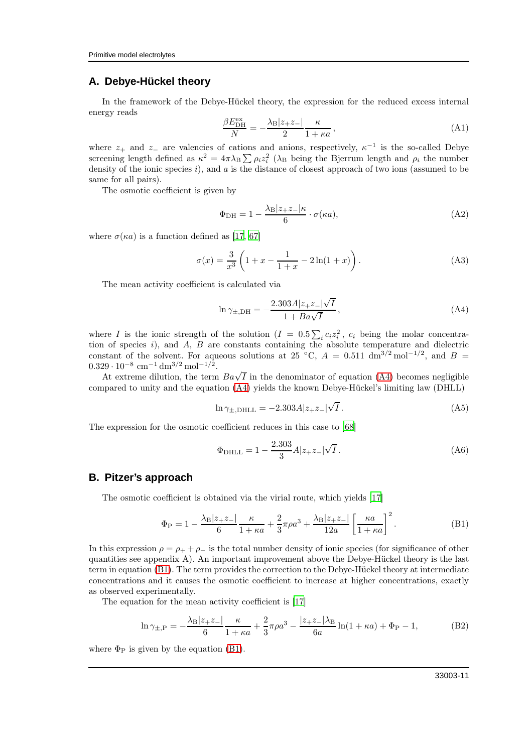## **A. Debye-Hückel theory**

In the framework of the Debye-Hückel theory, the expression for the reduced excess internal energy reads

$$
\frac{\beta E_{\text{DH}}^{\text{ex}}}{N} = -\frac{\lambda_{\text{B}} |z_{+}z_{-}|}{2} \frac{\kappa}{1 + \kappa a},\tag{A1}
$$

where  $z_+$  and  $z_-$  are valencies of cations and anions, respectively,  $\kappa^{-1}$  is the so-called Debye screening length defined as  $\kappa^2 = 4\pi\lambda_B \sum \rho_i z_i^2$  ( $\lambda_B$  being the Bjerrum length and  $\rho_i$  the number density of the ionic species  $i$ ), and  $a$  is the distance of closest approach of two ions (assumed to be same for all pairs).

The osmotic coefficient is given by

$$
\Phi_{\rm DH} = 1 - \frac{\lambda_{\rm B} |z_{+}z_{-}| \kappa}{6} \cdot \sigma(\kappa a),\tag{A2}
$$

where  $\sigma(\kappa a)$  is a function defined as [\[17,](#page-13-0) [67\]](#page-14-10)

$$
\sigma(x) = \frac{3}{x^3} \left( 1 + x - \frac{1}{1+x} - 2\ln(1+x) \right). \tag{A3}
$$

The mean activity coefficient is calculated via

<span id="page-10-0"></span>
$$
\ln \gamma_{\pm, \text{DH}} = -\frac{2.303A|z_{+}z_{-}|\sqrt{I}}{1 + Ba\sqrt{I}}, \tag{A4}
$$

where I is the ionic strength of the solution  $(I = 0.5 \sum_i c_i z_i^2, c_i$  being the molar concentration of species  $i$ ), and  $A$ ,  $B$  are constants containing the absolute temperature and dielectric constant of the solvent. For aqueous solutions at 25 °C,  $A = 0.511 \text{ dm}^{3/2} \text{mol}^{-1/2}$ , and  $B =$  $0.329 \cdot 10^{-8}$  cm<sup>-1</sup> dm<sup>3/2</sup> mol<sup>-1/2</sup>.

At extreme dilution, the term  $Ba\sqrt{I}$  in the denominator of equation [\(A4\)](#page-10-0) becomes negligible compared to unity and the equation [\(A4\)](#page-10-0) yields the known Debye-Hückel's limiting law (DHLL)

$$
\ln \gamma_{\pm, \text{DHLL}} = -2.303 A |z_{+} z_{-}|\sqrt{I} \,. \tag{A5}
$$

The expression for the osmotic coefficient reduces in this case to [\[68\]](#page-14-11)

$$
\Phi_{\text{DHLL}} = 1 - \frac{2.303}{3} A |z_{+} z_{-}| \sqrt{I} . \tag{A6}
$$

#### **B. Pitzer's approach**

The osmotic coefficient is obtained via the virial route, which yields [\[17\]](#page-13-0)

<span id="page-10-1"></span>
$$
\Phi_{\rm P} = 1 - \frac{\lambda_{\rm B} |z_{+}z_{-}|}{6} \frac{\kappa}{1 + \kappa a} + \frac{2}{3} \pi \rho a^{3} + \frac{\lambda_{\rm B} |z_{+}z_{-}|}{12a} \left[ \frac{\kappa a}{1 + \kappa a} \right]^{2}.
$$
 (B1)

In this expression  $\rho = \rho_+ + \rho_-$  is the total number density of ionic species (for significance of other quantities see appendix A). An important improvement above the Debye-Hückel theory is the last term in equation [\(B1\)](#page-10-1). The term provides the correction to the Debye-Hückel theory at intermediate concentrations and it causes the osmotic coefficient to increase at higher concentrations, exactly as observed experimentally.

The equation for the mean activity coefficient is [\[17\]](#page-13-0)

$$
\ln \gamma_{\pm, P} = -\frac{\lambda_{\rm B} |z_{+} z_{-}|}{6} \frac{\kappa}{1 + \kappa a} + \frac{2}{3} \pi \rho a^{3} - \frac{|z_{+} z_{-}| \lambda_{\rm B}}{6a} \ln(1 + \kappa a) + \Phi_{\rm P} - 1, \tag{B2}
$$

where  $\Phi_P$  is given by the equation [\(B1\)](#page-10-1).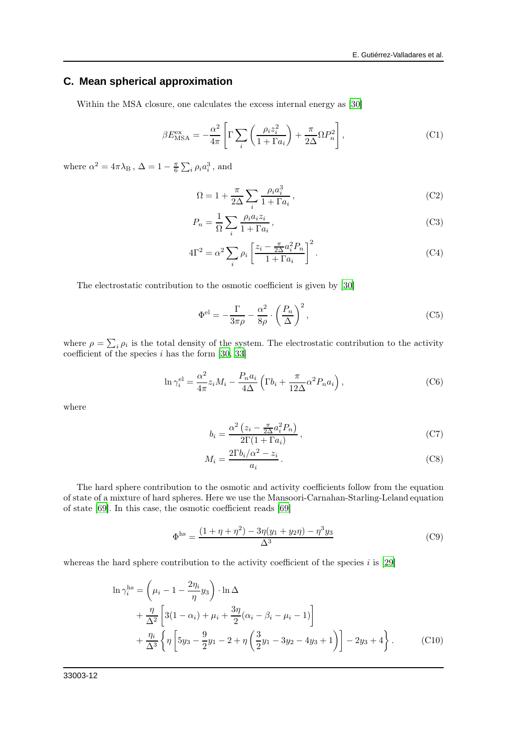## **C. Mean spherical approximation**

Within the MSA closure, one calculates the excess internal energy as [\[30\]](#page-13-29)

$$
\beta E_{\text{MSA}}^{\text{ex}} = -\frac{\alpha^2}{4\pi} \left[ \Gamma \sum_{i} \left( \frac{\rho_i z_i^2}{1 + \Gamma a_i} \right) + \frac{\pi}{2\Delta} \Omega P_n^2 \right],\tag{C1}
$$

where  $\alpha^2 = 4\pi\lambda_B$ ,  $\Delta = 1 - \frac{\pi}{6} \sum_i \rho_i a_i^3$ , and

$$
\Omega = 1 + \frac{\pi}{2\Delta} \sum_{i} \frac{\rho_i a_i^3}{1 + \Gamma a_i},\tag{C2}
$$

$$
P_n = \frac{1}{\Omega} \sum_i \frac{\rho_i a_i z_i}{1 + \Gamma a_i},\tag{C3}
$$

$$
4\Gamma^2 = \alpha^2 \sum_i \rho_i \left[ \frac{z_i - \frac{\pi}{2\Delta} a_i^2 P_n}{1 + \Gamma a_i} \right]^2.
$$
 (C4)

The electrostatic contribution to the osmotic coefficient is given by [\[30\]](#page-13-29)

$$
\Phi^{\text{el}} = -\frac{\Gamma}{3\pi\rho} - \frac{\alpha^2}{8\rho} \cdot \left(\frac{P_n}{\Delta}\right)^2,\tag{C5}
$$

where  $\rho = \sum_i \rho_i$  is the total density of the system. The electrostatic contribution to the activity coefficient of the species  $i$  has the form [\[30,](#page-13-29) [33\]](#page-13-8)

$$
\ln \gamma_i^{\text{el}} = \frac{\alpha^2}{4\pi} z_i M_i - \frac{P_n a_i}{4\Delta} \left( \Gamma b_i + \frac{\pi}{12\Delta} \alpha^2 P_n a_i \right),\tag{C6}
$$

where

$$
b_i = \frac{\alpha^2 \left( z_i - \frac{\pi}{2\Delta} a_i^2 P_n \right)}{2\Gamma(1 + \Gamma a_i)},
$$
\n(C7)

$$
M_i = \frac{2\Gamma b_i/\alpha^2 - z_i}{a_i} \,. \tag{C8}
$$

The hard sphere contribution to the osmotic and activity coefficients follow from the equation of state of a mixture of hard spheres. Here we use the Mansoori-Carnahan-Starling-Leland equation of state [\[69](#page-14-12)]. In this case, the osmotic coefficient reads [\[69\]](#page-14-12)

<span id="page-11-1"></span><span id="page-11-0"></span>
$$
\Phi^{\text{hs}} = \frac{(1 + \eta + \eta^2) - 3\eta(y_1 + y_2\eta) - \eta^3 y_3}{\Delta^3} \tag{C9}
$$

whereas the hard sphere contribution to the activity coefficient of the species  $i$  is [\[29\]](#page-13-30)

$$
\ln \gamma_i^{\text{hs}} = \left(\mu_i - 1 - \frac{2\eta_i}{\eta} y_3\right) \cdot \ln \Delta + \frac{\eta}{\Delta^2} \left[3(1 - \alpha_i) + \mu_i + \frac{3\eta}{2}(\alpha_i - \beta_i - \mu_i - 1)\right] + \frac{\eta_i}{\Delta^3} \left\{\eta \left[5y_3 - \frac{9}{2}y_1 - 2 + \eta \left(\frac{3}{2}y_1 - 3y_2 - 4y_3 + 1\right)\right] - 2y_3 + 4\right\}.
$$
 (C10)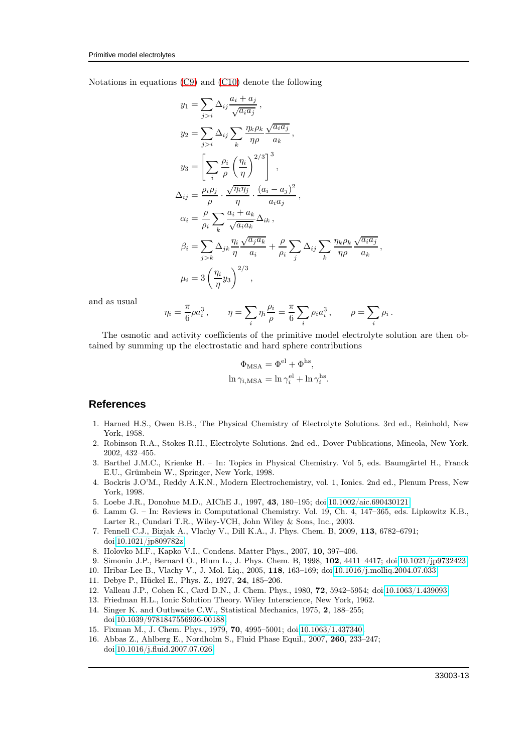Notations in equations [\(C9\)](#page-11-0) and [\(C10\)](#page-11-1) denote the following

$$
y_1 = \sum_{j>i} \Delta_{ij} \frac{a_i + a_j}{\sqrt{a_i a_j}},
$$
  
\n
$$
y_2 = \sum_{j>i} \Delta_{ij} \sum_k \frac{\eta_k \rho_k}{\eta \rho} \frac{\sqrt{a_i a_j}}{a_k},
$$
  
\n
$$
y_3 = \left[ \sum_i \frac{\rho_i}{\rho} \left( \frac{\eta_i}{\eta} \right)^{2/3} \right]^3,
$$
  
\n
$$
\Delta_{ij} = \frac{\rho_i \rho_j}{\rho} \cdot \frac{\sqrt{\eta_i \eta_j}}{\eta} \cdot \frac{(a_i - a_j)^2}{a_i a_j},
$$
  
\n
$$
\alpha_i = \frac{\rho}{\rho_i} \sum_k \frac{a_i + a_k}{\sqrt{a_i a_k}} \Delta_{ik},
$$
  
\n
$$
\beta_i = \sum_{j>k} \Delta_{jk} \frac{\eta_i}{\eta} \frac{\sqrt{a_j a_k}}{a_i} + \frac{\rho}{\rho_i} \sum_j \Delta_{ij} \sum_k \frac{\eta_k \rho_k}{\eta \rho} \frac{\sqrt{a_i a_j}}{a_k},
$$
  
\n
$$
\mu_i = 3 \left( \frac{\eta_i}{\eta} y_3 \right)^{2/3},
$$

and as usual

$$
\eta_i = \frac{\pi}{6} \rho a_i^3 \,, \qquad \eta = \sum_i \eta_i \frac{\rho_i}{\rho} = \frac{\pi}{6} \sum_i \rho_i a_i^3 \,, \qquad \rho = \sum_i \rho_i \,.
$$

The osmotic and activity coefficients of the primitive model electrolyte solution are then obtained by summing up the electrostatic and hard sphere contributions

$$
\Phi_{\text{MSA}} = \Phi^{\text{el}} + \Phi^{\text{hs}},
$$
  

$$
\ln \gamma_{i,\text{MSA}} = \ln \gamma_i^{\text{el}} + \ln \gamma_i^{\text{hs}}.
$$

#### **References**

- <span id="page-12-0"></span>1. Harned H.S., Owen B.B., The Physical Chemistry of Electrolyte Solutions. 3rd ed., Reinhold, New York, 1958.
- <span id="page-12-12"></span>2. Robinson R.A., Stokes R.H., Electrolyte Solutions. 2nd ed., Dover Publications, Mineola, New York, 2002, 432–455.
- <span id="page-12-8"></span>3. Barthel J.M.C., Krienke H. – In: Topics in Physical Chemistry. Vol 5, eds. Baumgärtel H., Franck E.U., Grümbein W., Springer, New York, 1998.
- 4. Bockris J.O'M., Reddy A.K.N., Modern Electrochemistry, vol. 1, Ionics. 2nd ed., Plenum Press, New York, 1998.
- 5. Loebe J.R., Donohue M.D., AIChE J., 1997, 43, 180–195; doi[:10.1002/aic.690430121.](http://dx.doi.org/10.1002/aic.690430121)
- <span id="page-12-1"></span>6. Lamm G. – In: Reviews in Computational Chemistry. Vol. 19, Ch. 4, 147–365, eds. Lipkowitz K.B., Larter R., Cundari T.R., Wiley-VCH, John Wiley & Sons, Inc., 2003.
- <span id="page-12-2"></span>7. Fennell C.J., Bizjak A., Vlachy V., Dill K.A., J. Phys. Chem. B, 2009, 113, 6782–6791; doi[:10.1021/jp809782z.](http://dx.doi.org/10.1021/jp809782z)
- <span id="page-12-3"></span>8. Holovko M.F., Kapko V.I., Condens. Matter Phys., 2007, 10, 397–406.
- <span id="page-12-4"></span>9. Simonin J.P., Bernard O., Blum L., J. Phys. Chem. B, 1998, 102, 4411–4417; doi[:10.1021/jp9732423.](http://dx.doi.org/10.1021/jp9732423)
- <span id="page-12-5"></span>10. Hribar-Lee B., Vlachy V., J. Mol. Liq., 2005, 118, 163–169; doi[:10.1016/j.molliq.2004.07.033.](http://dx.doi.org/10.1016/j.molliq.2004.07.033)
- <span id="page-12-6"></span>11. Debye P., Hückel E., Phys. Z., 1927, 24, 185–206.
- <span id="page-12-7"></span>12. Valleau J.P., Cohen K., Card D.N., J. Chem. Phys., 1980, 72, 5942–5954; doi[:10.1063/1.439093.](http://dx.doi.org/10.1063/1.439093)
- <span id="page-12-9"></span>13. Friedman H.L., Ionic Solution Theory. Wiley Interscience, New York, 1962.
- <span id="page-12-11"></span>14. Singer K. and Outhwaite C.W., Statistical Mechanics, 1975, 2, 188–255; doi[:10.1039/9781847556936-00188.](http://dx.doi.org/10.1039/9781847556936-00188)
- 15. Fixman M., J. Chem. Phys., 1979, 70, 4995–5001; doi[:10.1063/1.437340.](http://dx.doi.org/10.1063/1.437340)
- <span id="page-12-10"></span>16. Abbas Z., Ahlberg E., Nordholm S., Fluid Phase Equil., 2007, 260, 233–247; doi[:10.1016/j.fluid.2007.07.026.](http://dx.doi.org/10.1016/j.fluid.2007.07.026)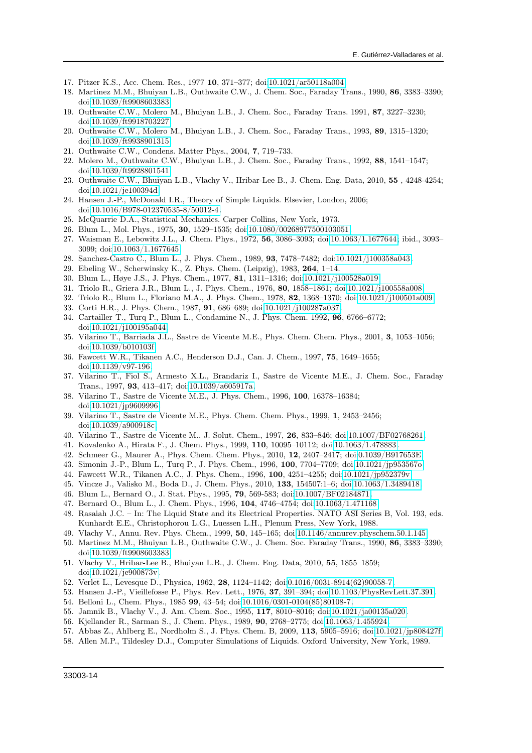- <span id="page-13-0"></span>17. Pitzer K.S., Acc. Chem. Res., 1977 10, 371–377; doi[:10.1021/ar50118a004.](http://dx.doi.org/10.1021/ar50118a004)
- <span id="page-13-1"></span>18. Martinez M.M., Bhuiyan L.B., Outhwaite C.W., J. Chem. Soc., Faraday Trans., 1990, 86, 3383–3390; doi[:10.1039/ft9908603383.](http://dx.doi.org/10.1039/ft9908603383)
- 19. Outhwaite C.W., Molero M., Bhuiyan L.B., J. Chem. Soc., Faraday Trans. 1991, 87, 3227–3230; doi[:10.1039/ft9918703227.](http://dx.doi.org/10.1039/ft9918703227)
- 20. Outhwaite C.W., Molero M., Bhuiyan L.B., J. Chem. Soc., Faraday Trans., 1993, 89, 1315–1320; doi[:10.1039/ft9938901315.](http://dx.doi.org/10.1039/ft9938901315)
- <span id="page-13-2"></span>21. Outhwaite C.W., Condens. Matter Phys., 2004, 7, 719–733.
- <span id="page-13-3"></span>22. Molero M., Outhwaite C.W., Bhuiyan L.B., J. Chem. Soc., Faraday Trans., 1992, 88, 1541–1547; doi[:10.1039/ft9928801541.](http://dx.doi.org/10.1039/ft9928801541)
- <span id="page-13-4"></span>23. Outhwaite C.W., Bhuiyan L.B., Vlachy V., Hribar-Lee B., J. Chem. Eng. Data, 2010, 55 , 4248-4254; doi[:10.1021/je100394d.](http://dx.doi.org/10.1021/je100394d)
- <span id="page-13-5"></span>24. Hansen J.-P., McDonald I.R., Theory of Simple Liquids. Elsevier, London, 2006; doi[:10.1016/B978-012370535-8/50012-4.](http://dx.doi.org/10.1016/B978-012370535-8/50012-4)
- <span id="page-13-6"></span>25. McQuarrie D.A., Statistical Mechanics. Carper Collins, New York, 1973.
- <span id="page-13-7"></span>26. Blum L., Mol. Phys., 1975, 30, 1529–1535; doi[:10.1080/00268977500103051.](http://dx.doi.org/10.1080/00268977500103051)
- 27. Waisman E., Lebowitz J.L., J. Chem. Phys., 1972, 56, 3086–3093; doi[:10.1063/1.1677644;](http://dx.doi.org/10.1063/1.1677644) ibid., 3093– 3099; doi[:10.1063/1.1677645.](http://dx.doi.org/10.1063/1.1677645)
- 28. Sanchez-Castro C., Blum L., J. Phys. Chem., 1989, 93, 7478–7482; doi[:10.1021/j100358a043.](http://dx.doi.org/10.1021/j100358a043)
- <span id="page-13-30"></span>29. Ebeling W., Scherwinsky K., Z. Phys. Chem. (Leipzig), 1983, 264, 1–14.
- <span id="page-13-29"></span>30. Blum L., Høye J.S., J. Phys. Chem., 1977, 81, 1311–1316; doi[:10.1021/j100528a019.](http://dx.doi.org/10.1021/j100528a019)
- 31. Triolo R., Griera J.R., Blum L., J. Phys. Chem., 1976, 80, 1858–1861; doi[:10.1021/j100558a008.](http://dx.doi.org/10.1021/j100558a008)
- <span id="page-13-13"></span>32. Triolo R., Blum L., Floriano M.A., J. Phys. Chem., 1978, 82, 1368–1370; doi[:10.1021/j100501a009.](http://dx.doi.org/10.1021/j100501a009)
- <span id="page-13-8"></span>33. Corti H.R., J. Phys. Chem., 1987, 91, 686–689; doi[:10.1021/j100287a037.](http://dx.doi.org/10.1021/j100287a037)
- <span id="page-13-9"></span>34. Cartailler T., Turq P., Blum L., Condamine N., J. Phys. Chem. 1992, 96, 6766–6772; doi[:10.1021/j100195a044.](http://dx.doi.org/10.1021/j100195a044)
- 35. Vilarino T., Barriada J.L., Sastre de Vicente M.E., Phys. Chem. Chem. Phys., 2001, 3, 1053–1056; doi[:10.1039/b010103f.](http://dx.doi.org/10.1039/b010103f)
- 36. Fawcett W.R., Tikanen A.C., Henderson D.J., Can. J. Chem., 1997, 75, 1649–1655; doi[:10.1139/v97-196.](http://dx.doi.org/10.1139/v97-196)
- 37. Vilarino T., Fiol S., Armesto X.L., Brandariz I., Sastre de Vicente M.E., J. Chem. Soc., Faraday Trans., 1997, 93, 413–417; doi[:10.1039/a605917a.](http://dx.doi.org/10.1039/a605917a)
- 38. Vilarino T., Sastre de Vicente M.E., J. Phys. Chem., 1996, 100, 16378–16384; doi[:10.1021/jp9609996.](http://dx.doi.org/10.1021/jp9609996)
- 39. Vilarino T., Sastre de Vicente M.E., Phys. Chem. Chem. Phys., 1999, 1, 2453–2456; doi[:10.1039/a900918c.](http://dx.doi.org/10.1039/a900918c)
- <span id="page-13-10"></span>40. Vilarino T., Sastre de Vicente M., J. Solut. Chem., 1997, 26, 833–846; doi[:10.1007/BF02768261.](http://dx.doi.org/10.1007/BF02768261)
- <span id="page-13-11"></span>41. Kovalenko A., Hirata F., J. Chem. Phys., 1999, 110, 10095–10112; doi[:10.1063/1.478883.](http://dx.doi.org/10.1063/1.478883)
- <span id="page-13-12"></span>42. Schmeer G., Maurer A., Phys. Chem. Chem. Phys., 2010, 12, 2407–2417; doi[:0.1039/B917653E.](http://dx.doi.org/0.1039/B917653E)
- <span id="page-13-14"></span>43. Simonin J.-P., Blum L., Turq P., J. Phys. Chem., 1996, 100, 7704–7709; doi[:10.1021/jp953567o.](http://dx.doi.org/10.1021/jp953567o)
- 44. Fawcett W.R., Tikanen A.C., J. Phys. Chem., 1996, 100, 4251–4255; doi[:10.1021/jp952379v.](http://dx.doi.org/10.1021/jp952379v)
- <span id="page-13-15"></span>45. Vincze J., Valisko M., Boda D., J. Chem. Phys., 2010, 133, 154507:1–6; doi[:10.1063/1.3489418.](http://dx.doi.org/10.1063/1.3489418)
- <span id="page-13-16"></span>46. Blum L., Bernard O., J. Stat. Phys., 1995, 79, 569-583; doi[:10.1007/BF02184871.](http://dx.doi.org/10.1007/BF02184871)
- <span id="page-13-17"></span>47. Bernard O., Blum L., J. Chem. Phys., 1996, 104, 4746–4754; doi[:10.1063/1.471168.](http://dx.doi.org/10.1063/1.471168)
- <span id="page-13-18"></span>48. Rasaiah J.C. – In: The Liquid State and its Electrical Properties. NATO ASI Series B, Vol. 193, eds. Kunhardt E.E., Christophorou L.G., Luessen L.H., Plenum Press, New York, 1988.
- <span id="page-13-19"></span>49. Vlachy V., Annu. Rev. Phys. Chem., 1999, 50, 145–165; doi[:10.1146/annurev.physchem.50.1.145.](http://dx.doi.org/10.1146/annurev.physchem.50.1.145)
- <span id="page-13-20"></span>50. Martinez M.M., Bhuiyan L.B., Outhwaite C.W., J. Chem. Soc. Faraday Trans., 1990, 86, 3383–3390; doi[:10.1039/ft9908603383.](http://dx.doi.org/10.1039/ft9908603383)
- <span id="page-13-21"></span>51. Vlachy V., Hribar-Lee B., Bhuiyan L.B., J. Chem. Eng. Data, 2010, 55, 1855–1859; doi[:10.1021/je900873v.](http://dx.doi.org/10.1021/je900873v)
- <span id="page-13-22"></span>52. Verlet L., Levesque D., Physica, 1962, 28, 1124–1142; doi[:0.1016/0031-8914\(62\)90058-7.](http://dx.doi.org/0.1016/0031-8914(62)90058-7)
- <span id="page-13-23"></span>53. Hansen J.-P., Vieillefosse P., Phys. Rev. Lett., 1976, 37, 391–394; doi[:10.1103/PhysRevLett.37.391.](http://dx.doi.org/10.1103/PhysRevLett.37.391)
- <span id="page-13-24"></span>54. Belloni L., Chem. Phys., 1985 99, 43–54; doi[:10.1016/0301-0104\(85\)80108-7.](http://dx.doi.org/10.1016/0301-0104(85)80108-7)
- <span id="page-13-25"></span>55. Jamnik B., Vlachy V., J. Am. Chem. Soc., 1995, 117, 8010–8016; doi[:10.1021/ja00135a020.](http://dx.doi.org/10.1021/ja00135a020)
- <span id="page-13-26"></span>56. Kjellander R., Sarman S., J. Chem. Phys., 1989, 90, 2768–2775; doi[:10.1063/1.455924.](http://dx.doi.org/10.1063/1.455924)
- <span id="page-13-27"></span>57. Abbas Z., Ahlberg E., Nordholm S., J. Phys. Chem. B, 2009, 113, 5905–5916; doi[:10.1021/jp808427f.](http://dx.doi.org/10.1021/jp808427f)
- <span id="page-13-28"></span>58. Allen M.P., Tildesley D.J., Computer Simulations of Liquids. Oxford University, New York, 1989.